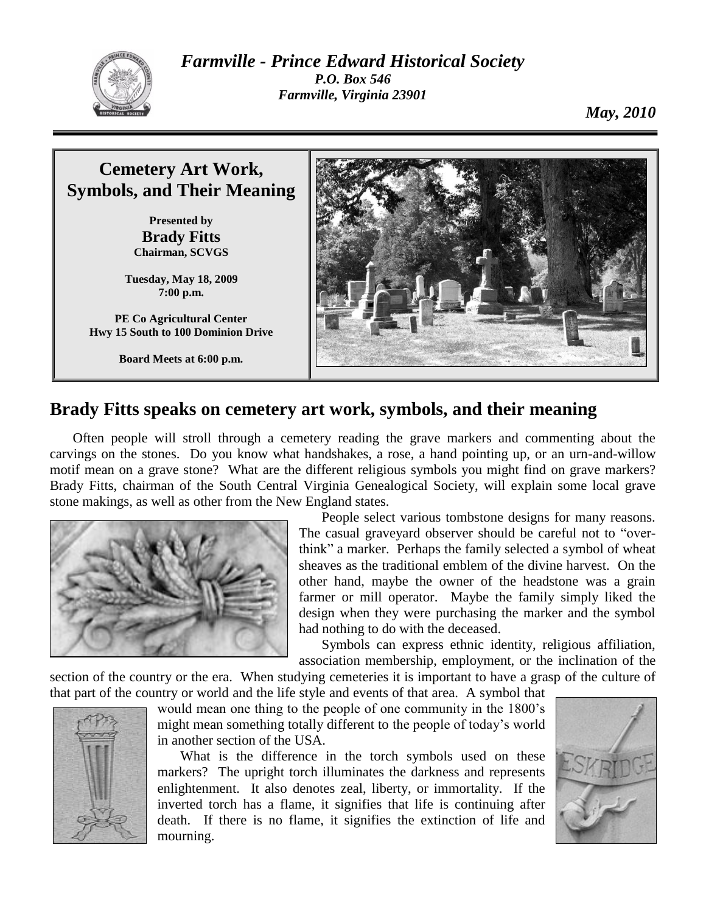

*Farmville - Prince Edward Historical Society P.O. Box 546 Farmville, Virginia 23901*

*May, 2010*



## **Brady Fitts speaks on cemetery art work, symbols, and their meaning**

Often people will stroll through a cemetery reading the grave markers and commenting about the carvings on the stones. Do you know what handshakes, a rose, a hand pointing up, or an urn-and-willow motif mean on a grave stone? What are the different religious symbols you might find on grave markers? Brady Fitts, chairman of the South Central Virginia Genealogical Society, will explain some local grave stone makings, as well as other from the New England states.



People select various tombstone designs for many reasons. The casual graveyard observer should be careful not to "overthink" a marker. Perhaps the family selected a symbol of wheat sheaves as the traditional emblem of the divine harvest. On the other hand, maybe the owner of the headstone was a grain farmer or mill operator. Maybe the family simply liked the design when they were purchasing the marker and the symbol had nothing to do with the deceased.

Symbols can express ethnic identity, religious affiliation, association membership, employment, or the inclination of the

section of the country or the era. When studying cemeteries it is important to have a grasp of the culture of that part of the country or world and the life style and events of that area. A symbol that



would mean one thing to the people of one community in the 1800's might mean something totally different to the people of today's world in another section of the USA.

What is the difference in the torch symbols used on these markers? The upright torch illuminates the darkness and represents enlightenment. It also denotes zeal, liberty, or immortality. If the inverted torch has a flame, it signifies that life is continuing after death. If there is no flame, it signifies the extinction of life and mourning.